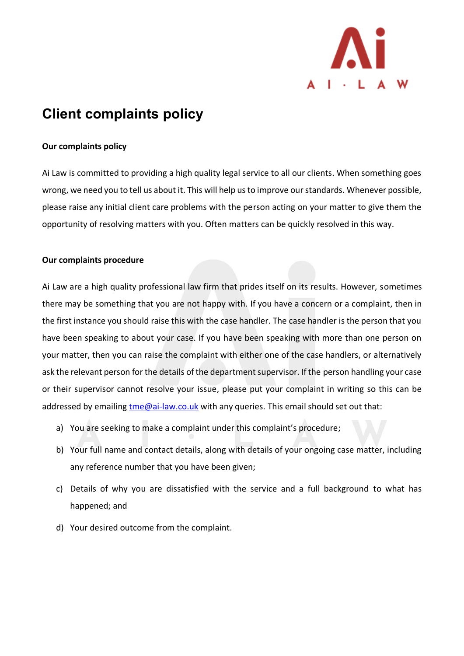

# **Client complaints policy**

## **Our complaints policy**

Ai Law is committed to providing a high quality legal service to all our clients. When something goes wrong, we need you to tell us about it. This will help us to improve our standards. Whenever possible, please raise any initial client care problems with the person acting on your matter to give them the opportunity of resolving matters with you. Often matters can be quickly resolved in this way.

## **Our complaints procedure**

Ai Law are a high quality professional law firm that prides itself on its results. However, sometimes there may be something that you are not happy with. If you have a concern or a complaint, then in the first instance you should raise this with the case handler. The case handler is the person that you have been speaking to about your case. If you have been speaking with more than one person on your matter, then you can raise the complaint with either one of the case handlers, or alternatively ask the relevant person for the details of the department supervisor. If the person handling your case or their supervisor cannot resolve your issue, please put your complaint in writing so this can be addressed by emailing [tme@ai-law.co.uk](mailto:tme@ai-law.co.uk) with any queries. This email should set out that:

- a) You are seeking to make a complaint under this complaint's procedure;
- b) Your full name and contact details, along with details of your ongoing case matter, including any reference number that you have been given;
- c) Details of why you are dissatisfied with the service and a full background to what has happened; and
- d) Your desired outcome from the complaint.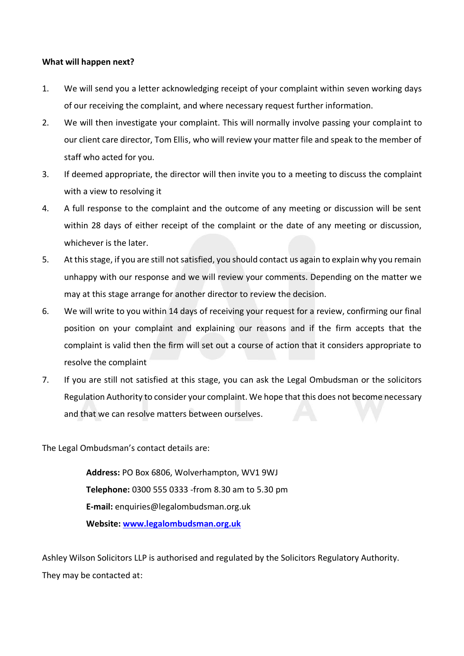### **What will happen next?**

- 1. We will send you a letter acknowledging receipt of your complaint within seven working days of our receiving the complaint, and where necessary request further information.
- 2. We will then investigate your complaint. This will normally involve passing your complaint to our client care director, Tom Ellis, who will review your matter file and speak to the member of staff who acted for you.
- 3. If deemed appropriate, the director will then invite you to a meeting to discuss the complaint with a view to resolving it
- 4. A full response to the complaint and the outcome of any meeting or discussion will be sent within 28 days of either receipt of the complaint or the date of any meeting or discussion, whichever is the later.
- 5. At this stage, if you are still not satisfied, you should contact us again to explain why you remain unhappy with our response and we will review your comments. Depending on the matter we may at this stage arrange for another director to review the decision.
- 6. We will write to you within 14 days of receiving your request for a review, confirming our final position on your complaint and explaining our reasons and if the firm accepts that the complaint is valid then the firm will set out a course of action that it considers appropriate to resolve the complaint
- 7. If you are still not satisfied at this stage, you can ask the Legal Ombudsman or the solicitors Regulation Authority to consider your complaint. We hope that this does not become necessary and that we can resolve matters between ourselves.

The Legal Ombudsman's contact details are:

**Address:** PO Box 6806, Wolverhampton, WV1 9WJ **Telephone:** 0300 555 0333 -from 8.30 am to 5.30 pm **E-mail:** enquiries@legalombudsman.org.uk **Website: [www.legalombudsman.org.uk](http://www.legalombudsman.org.uk/)**

Ashley Wilson Solicitors LLP is authorised and regulated by the Solicitors Regulatory Authority. They may be contacted at: